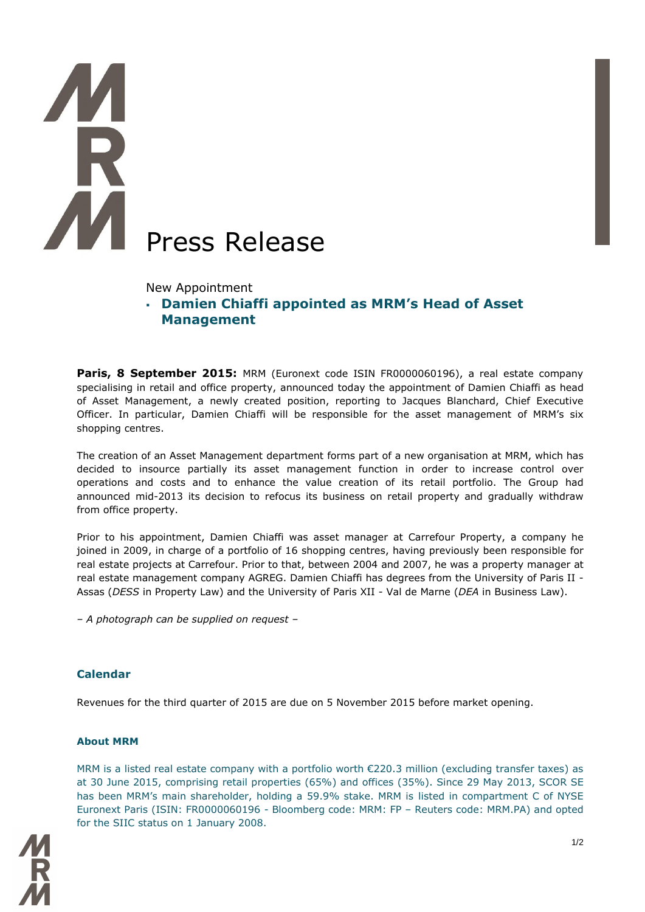## Press Release

New Appointment

 **Damien Chiaffi appointed as MRM's Head of Asset Management** 

**Paris, 8 September 2015:** MRM (Euronext code ISIN FR0000060196), a real estate company specialising in retail and office property, announced today the appointment of Damien Chiaffi as head of Asset Management, a newly created position, reporting to Jacques Blanchard, Chief Executive Officer. In particular, Damien Chiaffi will be responsible for the asset management of MRM's six shopping centres.

The creation of an Asset Management department forms part of a new organisation at MRM, which has decided to insource partially its asset management function in order to increase control over operations and costs and to enhance the value creation of its retail portfolio. The Group had announced mid-2013 its decision to refocus its business on retail property and gradually withdraw from office property.

Prior to his appointment, Damien Chiaffi was asset manager at Carrefour Property, a company he joined in 2009, in charge of a portfolio of 16 shopping centres, having previously been responsible for real estate projects at Carrefour. Prior to that, between 2004 and 2007, he was a property manager at real estate management company AGREG. Damien Chiaffi has degrees from the University of Paris II - Assas (*DESS* in Property Law) and the University of Paris XII - Val de Marne (*DEA* in Business Law).

*– A photograph can be supplied on request –*

## **Calendar**

Revenues for the third quarter of 2015 are due on 5 November 2015 before market opening.

## **About MRM**

MRM is a listed real estate company with a portfolio worth  $\epsilon$ 220.3 million (excluding transfer taxes) as at 30 June 2015, comprising retail properties (65%) and offices (35%). Since 29 May 2013, SCOR SE has been MRM's main shareholder, holding a 59.9% stake. MRM is listed in compartment C of NYSE Euronext Paris (ISIN: FR0000060196 - Bloomberg code: MRM: FP – Reuters code: MRM.PA) and opted for the SIIC status on 1 January 2008.